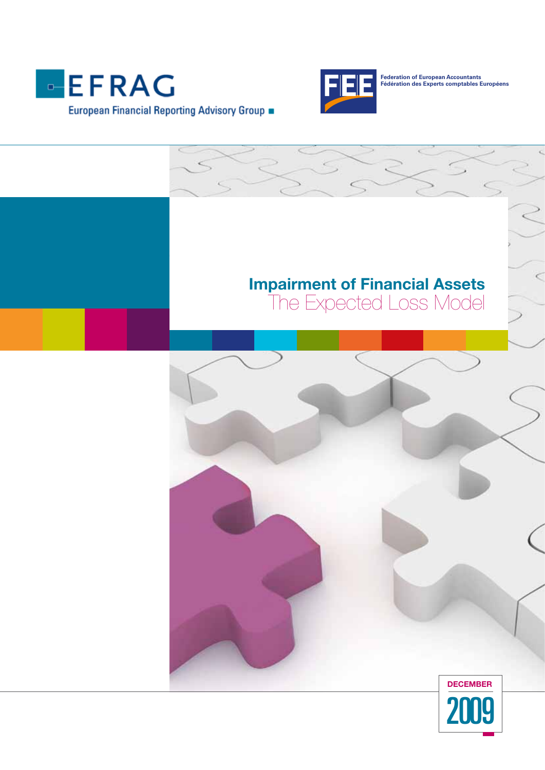



**Federation of European Accountants Fédération des Experts comptables Européens**

# Impairment of Financial Assets

5

The Expected Loss Model

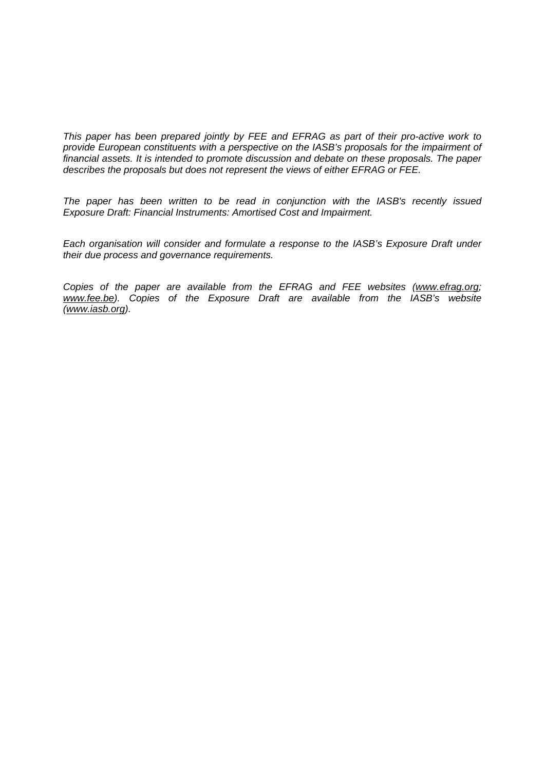*This paper has been prepared jointly by FEE and EFRAG as part of their pro-active work to provide European constituents with a perspective on the IASB's proposals for the impairment of financial assets. It is intended to promote discussion and debate on these proposals. The paper describes the proposals but does not represent the views of either EFRAG or FEE.* 

*The paper has been written to be read in conjunction with the IASB's recently issued Exposure Draft: Financial Instruments: Amortised Cost and Impairment.* 

*Each organisation will consider and formulate a response to the IASB's Exposure Draft under their due process and governance requirements.* 

*Copies of the paper are available from the EFRAG and FEE websites (www.efrag.org; www.fee.be). Copies of the Exposure Draft are available from the IASB's website* **(***minimum system***)** *(www.iasb.org).*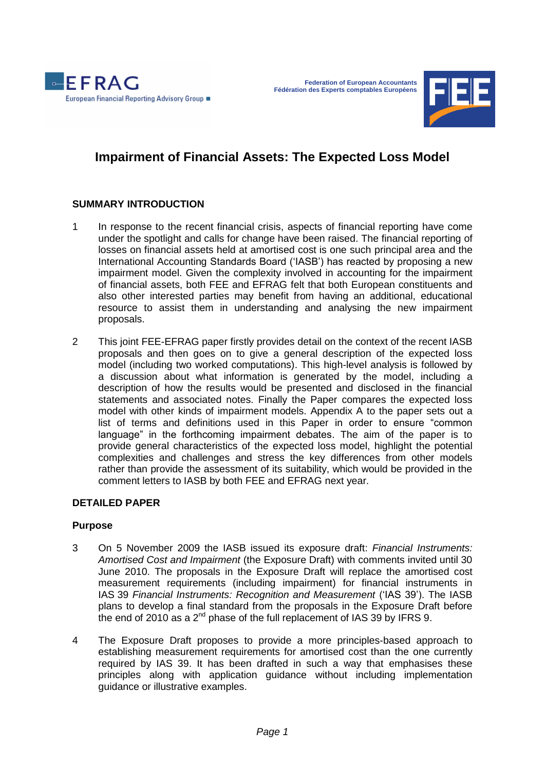



# **Impairment of Financial Assets: The Expected Loss Model**

# **SUMMARY INTRODUCTION**

- 1 In response to the recent financial crisis, aspects of financial reporting have come under the spotlight and calls for change have been raised. The financial reporting of losses on financial assets held at amortised cost is one such principal area and the International Accounting Standards Board (‗IASB') has reacted by proposing a new impairment model. Given the complexity involved in accounting for the impairment of financial assets, both FEE and EFRAG felt that both European constituents and also other interested parties may benefit from having an additional, educational resource to assist them in understanding and analysing the new impairment proposals.
- 2 This joint FEE-EFRAG paper firstly provides detail on the context of the recent IASB proposals and then goes on to give a general description of the expected loss model (including two worked computations). This high-level analysis is followed by a discussion about what information is generated by the model, including a description of how the results would be presented and disclosed in the financial statements and associated notes. Finally the Paper compares the expected loss model with other kinds of impairment models. Appendix A to the paper sets out a list of terms and definitions used in this Paper in order to ensure "common language" in the forthcoming impairment debates. The aim of the paper is to provide general characteristics of the expected loss model, highlight the potential complexities and challenges and stress the key differences from other models rather than provide the assessment of its suitability, which would be provided in the comment letters to IASB by both FEE and EFRAG next year.

# **DETAILED PAPER**

#### **Purpose**

- 3 On 5 November 2009 the IASB issued its exposure draft: *Financial Instruments: Amortised Cost and Impairment* (the Exposure Draft) with comments invited until 30 June 2010. The proposals in the Exposure Draft will replace the amortised cost measurement requirements (including impairment) for financial instruments in IAS 39 Financial Instruments: Recognition and Measurement ('IAS 39'). The IASB plans to develop a final standard from the proposals in the Exposure Draft before the end of 2010 as a  $2^{nd}$  phase of the full replacement of IAS 39 by IFRS 9.
- 4 The Exposure Draft proposes to provide a more principles-based approach to establishing measurement requirements for amortised cost than the one currently required by IAS 39. It has been drafted in such a way that emphasises these principles along with application guidance without including implementation guidance or illustrative examples.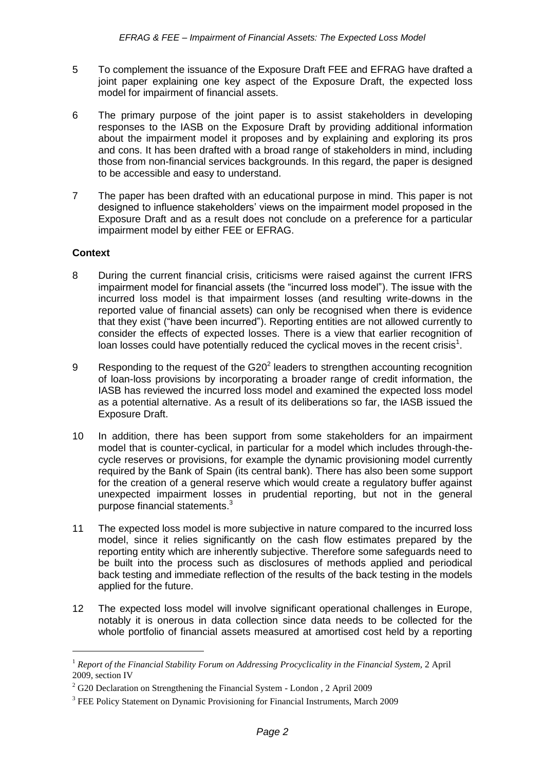- 5 To complement the issuance of the Exposure Draft FEE and EFRAG have drafted a joint paper explaining one key aspect of the Exposure Draft, the expected loss model for impairment of financial assets.
- 6 The primary purpose of the joint paper is to assist stakeholders in developing responses to the IASB on the Exposure Draft by providing additional information about the impairment model it proposes and by explaining and exploring its pros and cons. It has been drafted with a broad range of stakeholders in mind, including those from non-financial services backgrounds. In this regard, the paper is designed to be accessible and easy to understand.
- 7 The paper has been drafted with an educational purpose in mind. This paper is not designed to influence stakeholders' views on the impairment model proposed in the Exposure Draft and as a result does not conclude on a preference for a particular impairment model by either FEE or EFRAG.

# **Context**

- 8 During the current financial crisis, criticisms were raised against the current IFRS impairment model for financial assets (the "incurred loss model"). The issue with the incurred loss model is that impairment losses (and resulting write-downs in the reported value of financial assets) can only be recognised when there is evidence that they exist ("have been incurred"). Reporting entities are not allowed currently to consider the effects of expected losses. There is a view that earlier recognition of loan losses could have potentially reduced the cyclical moves in the recent crisis<sup>1</sup>.
- 9 Responding to the request of the  $G20<sup>2</sup>$  leaders to strengthen accounting recognition of loan-loss provisions by incorporating a broader range of credit information, the IASB has reviewed the incurred loss model and examined the expected loss model as a potential alternative. As a result of its deliberations so far, the IASB issued the Exposure Draft.
- 10 In addition, there has been support from some stakeholders for an impairment model that is counter-cyclical, in particular for a model which includes through-thecycle reserves or provisions, for example the dynamic provisioning model currently required by the Bank of Spain (its central bank). There has also been some support for the creation of a general reserve which would create a regulatory buffer against unexpected impairment losses in prudential reporting, but not in the general purpose financial statements.<sup>3</sup>
- 11 The expected loss model is more subjective in nature compared to the incurred loss model, since it relies significantly on the cash flow estimates prepared by the reporting entity which are inherently subjective. Therefore some safeguards need to be built into the process such as disclosures of methods applied and periodical back testing and immediate reflection of the results of the back testing in the models applied for the future.
- 12 The expected loss model will involve significant operational challenges in Europe, notably it is onerous in data collection since data needs to be collected for the whole portfolio of financial assets measured at amortised cost held by a reporting

<sup>1</sup> *Report of the Financial Stability Forum on Addressing Procyclicality in the Financial System,* 2 April 2009, section IV

<sup>&</sup>lt;sup>2</sup> G20 Declaration on Strengthening the Financial System - London, 2 April 2009

<sup>&</sup>lt;sup>3</sup> FEE Policy Statement on Dynamic Provisioning for Financial Instruments, March 2009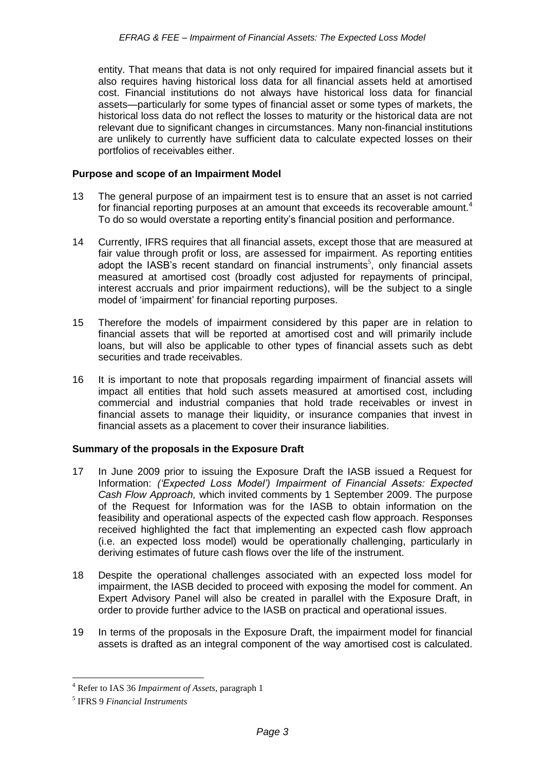entity. That means that data is not only required for impaired financial assets but it also requires having historical loss data for all financial assets held at amortised cost. Financial institutions do not always have historical loss data for financial assets—particularly for some types of financial asset or some types of markets, the historical loss data do not reflect the losses to maturity or the historical data are not relevant due to significant changes in circumstances. Many non-financial institutions are unlikely to currently have sufficient data to calculate expected losses on their portfolios of receivables either.

#### **Purpose and scope of an Impairment Model**

- 13 The general purpose of an impairment test is to ensure that an asset is not carried for financial reporting purposes at an amount that exceeds its recoverable amount.<sup>4</sup> To do so would overstate a reporting entity's financial position and performance.
- 14 Currently, IFRS requires that all financial assets, except those that are measured at fair value through profit or loss, are assessed for impairment. As reporting entities adopt the IASB's recent standard on financial instruments<sup>5</sup>, only financial assets measured at amortised cost (broadly cost adjusted for repayments of principal, interest accruals and prior impairment reductions), will be the subject to a single model of 'impairment' for financial reporting purposes.
- 15 Therefore the models of impairment considered by this paper are in relation to financial assets that will be reported at amortised cost and will primarily include loans, but will also be applicable to other types of financial assets such as debt securities and trade receivables.
- 16 It is important to note that proposals regarding impairment of financial assets will impact all entities that hold such assets measured at amortised cost, including commercial and industrial companies that hold trade receivables or invest in financial assets to manage their liquidity, or insurance companies that invest in financial assets as a placement to cover their insurance liabilities.

# **Summary of the proposals in the Exposure Draft**

- 17 In June 2009 prior to issuing the Exposure Draft the IASB issued a Request for Information: *('Expected Loss Model') Impairment of Financial Assets: Expected Cash Flow Approach,* which invited comments by 1 September 2009. The purpose of the Request for Information was for the IASB to obtain information on the feasibility and operational aspects of the expected cash flow approach. Responses received highlighted the fact that implementing an expected cash flow approach (i.e. an expected loss model) would be operationally challenging, particularly in deriving estimates of future cash flows over the life of the instrument.
- 18 Despite the operational challenges associated with an expected loss model for impairment, the IASB decided to proceed with exposing the model for comment. An Expert Advisory Panel will also be created in parallel with the Exposure Draft, in order to provide further advice to the IASB on practical and operational issues.
- 19 In terms of the proposals in the Exposure Draft, the impairment model for financial assets is drafted as an integral component of the way amortised cost is calculated.

<sup>&</sup>lt;u>.</u> <sup>4</sup> Refer to IAS 36 *Impairment of Assets*, paragraph 1

<sup>5</sup> IFRS 9 *Financial Instruments*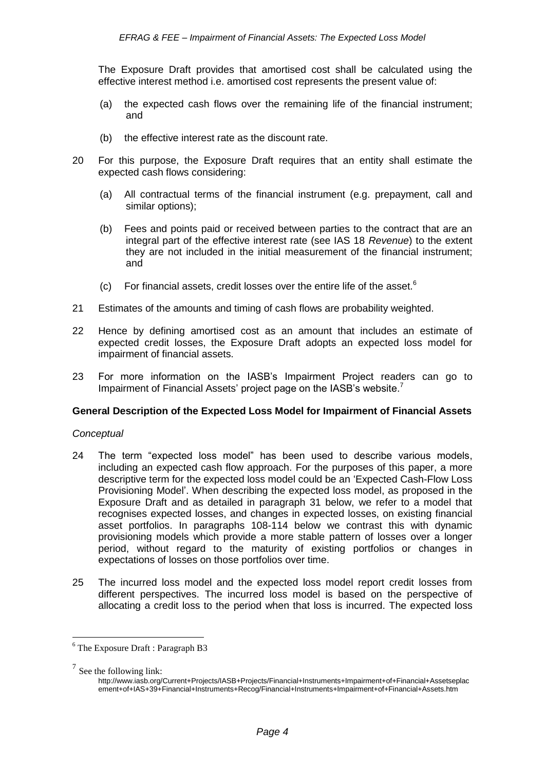The Exposure Draft provides that amortised cost shall be calculated using the effective interest method i.e. amortised cost represents the present value of:

- (a) the expected cash flows over the remaining life of the financial instrument; and
- (b) the effective interest rate as the discount rate.
- 20 For this purpose, the Exposure Draft requires that an entity shall estimate the expected cash flows considering:
	- (a) All contractual terms of the financial instrument (e.g. prepayment, call and similar options);
	- (b) Fees and points paid or received between parties to the contract that are an integral part of the effective interest rate (see IAS 18 *Revenue*) to the extent they are not included in the initial measurement of the financial instrument; and
	- (c) For financial assets, credit losses over the entire life of the asset.<sup>6</sup>
- 21 Estimates of the amounts and timing of cash flows are probability weighted.
- 22 Hence by defining amortised cost as an amount that includes an estimate of expected credit losses, the Exposure Draft adopts an expected loss model for impairment of financial assets.
- 23 For more information on the IASB's Impairment Project readers can go to Impairment of Financial Assets' project page on the IASB's website.<sup>7</sup>

#### **General Description of the Expected Loss Model for Impairment of Financial Assets**

#### *Conceptual*

- 24 The term "expected loss model" has been used to describe various models, including an expected cash flow approach. For the purposes of this paper, a more descriptive term for the expected loss model could be an 'Expected Cash-Flow Loss Provisioning Model'. When describing the expected loss model, as proposed in the Exposure Draft and as detailed in paragraph 31 below, we refer to a model that recognises expected losses, and changes in expected losses, on existing financial asset portfolios. In paragraphs 108-114 below we contrast this with dynamic provisioning models which provide a more stable pattern of losses over a longer period, without regard to the maturity of existing portfolios or changes in expectations of losses on those portfolios over time.
- 25 The incurred loss model and the expected loss model report credit losses from different perspectives. The incurred loss model is based on the perspective of allocating a credit loss to the period when that loss is incurred. The expected loss

<u>.</u>

 $6$  The Exposure Draft : Paragraph B3

 $<sup>7</sup>$  See the following link:</sup>

http://www.iasb.org/Current+Projects/IASB+Projects/Financial+Instruments+Impairment+of+Financial+Assetseplac ement+of+IAS+39+Financial+Instruments+Recog/Financial+Instruments+Impairment+of+Financial+Assets.htm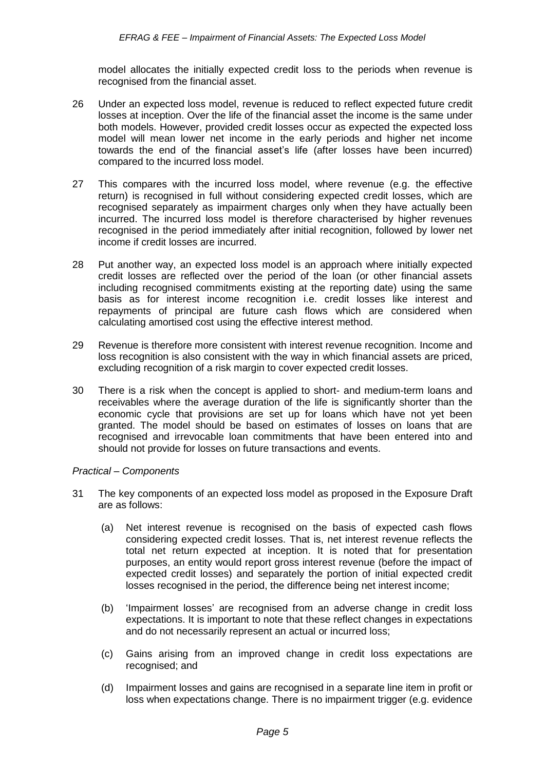model allocates the initially expected credit loss to the periods when revenue is recognised from the financial asset.

- 26 Under an expected loss model, revenue is reduced to reflect expected future credit losses at inception. Over the life of the financial asset the income is the same under both models. However, provided credit losses occur as expected the expected loss model will mean lower net income in the early periods and higher net income towards the end of the financial asset's life (after losses have been incurred) compared to the incurred loss model.
- 27 This compares with the incurred loss model, where revenue (e.g. the effective return) is recognised in full without considering expected credit losses, which are recognised separately as impairment charges only when they have actually been incurred. The incurred loss model is therefore characterised by higher revenues recognised in the period immediately after initial recognition, followed by lower net income if credit losses are incurred.
- 28 Put another way, an expected loss model is an approach where initially expected credit losses are reflected over the period of the loan (or other financial assets including recognised commitments existing at the reporting date) using the same basis as for interest income recognition i.e. credit losses like interest and repayments of principal are future cash flows which are considered when calculating amortised cost using the effective interest method.
- 29 Revenue is therefore more consistent with interest revenue recognition. Income and loss recognition is also consistent with the way in which financial assets are priced, excluding recognition of a risk margin to cover expected credit losses.
- 30 There is a risk when the concept is applied to short- and medium-term loans and receivables where the average duration of the life is significantly shorter than the economic cycle that provisions are set up for loans which have not yet been granted. The model should be based on estimates of losses on loans that are recognised and irrevocable loan commitments that have been entered into and should not provide for losses on future transactions and events.

#### *Practical – Components*

- 31 The key components of an expected loss model as proposed in the Exposure Draft are as follows:
	- (a) Net interest revenue is recognised on the basis of expected cash flows considering expected credit losses. That is, net interest revenue reflects the total net return expected at inception. It is noted that for presentation purposes, an entity would report gross interest revenue (before the impact of expected credit losses) and separately the portion of initial expected credit losses recognised in the period, the difference being net interest income;
	- (b) 'Impairment losses' are recognised from an adverse change in credit loss expectations. It is important to note that these reflect changes in expectations and do not necessarily represent an actual or incurred loss;
	- (c) Gains arising from an improved change in credit loss expectations are recognised; and
	- (d) Impairment losses and gains are recognised in a separate line item in profit or loss when expectations change. There is no impairment trigger (e.g. evidence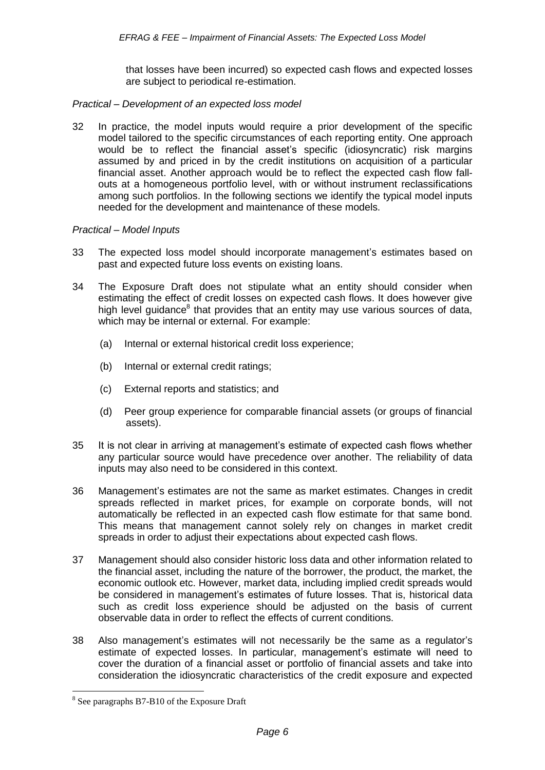that losses have been incurred) so expected cash flows and expected losses are subject to periodical re-estimation.

#### *Practical – Development of an expected loss model*

32 In practice, the model inputs would require a prior development of the specific model tailored to the specific circumstances of each reporting entity. One approach would be to reflect the financial asset's specific (idiosyncratic) risk margins assumed by and priced in by the credit institutions on acquisition of a particular financial asset. Another approach would be to reflect the expected cash flow fallouts at a homogeneous portfolio level, with or without instrument reclassifications among such portfolios. In the following sections we identify the typical model inputs needed for the development and maintenance of these models.

#### *Practical – Model Inputs*

- 33 The expected loss model should incorporate management's estimates based on past and expected future loss events on existing loans.
- 34 The Exposure Draft does not stipulate what an entity should consider when estimating the effect of credit losses on expected cash flows. It does however give high level guidance<sup>8</sup> that provides that an entity may use various sources of data, which may be internal or external. For example:
	- (a) Internal or external historical credit loss experience;
	- (b) Internal or external credit ratings;
	- (c) External reports and statistics; and
	- (d) Peer group experience for comparable financial assets (or groups of financial assets).
- 35 It is not clear in arriving at management's estimate of expected cash flows whether any particular source would have precedence over another. The reliability of data inputs may also need to be considered in this context.
- 36 Management's estimates are not the same as market estimates. Changes in credit spreads reflected in market prices, for example on corporate bonds, will not automatically be reflected in an expected cash flow estimate for that same bond. This means that management cannot solely rely on changes in market credit spreads in order to adjust their expectations about expected cash flows.
- 37 Management should also consider historic loss data and other information related to the financial asset, including the nature of the borrower, the product, the market, the economic outlook etc. However, market data, including implied credit spreads would be considered in management's estimates of future losses. That is, historical data such as credit loss experience should be adjusted on the basis of current observable data in order to reflect the effects of current conditions.
- 38 Also management's estimates will not necessarily be the same as a regulator's estimate of expected losses. In particular, management's estimate will need to cover the duration of a financial asset or portfolio of financial assets and take into consideration the idiosyncratic characteristics of the credit exposure and expected

<sup>&</sup>lt;sup>8</sup> See paragraphs B7-B10 of the Exposure Draft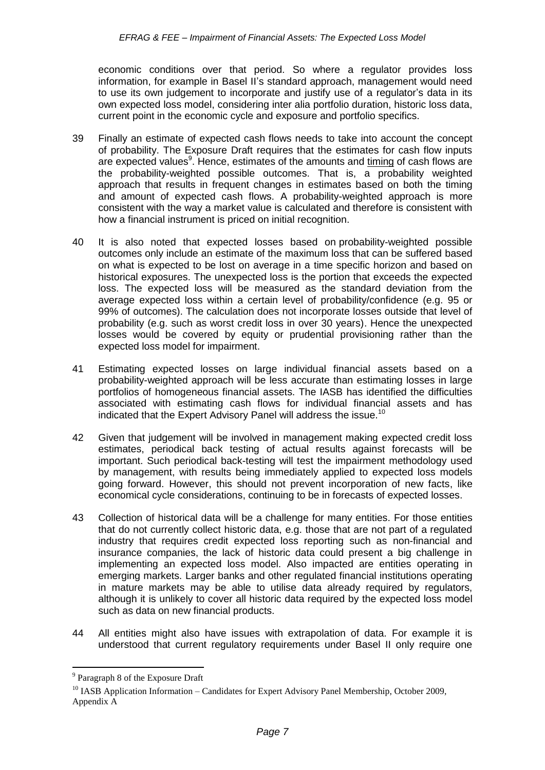economic conditions over that period. So where a regulator provides loss information, for example in Basel II's standard approach, management would need to use its own judgement to incorporate and justify use of a regulator's data in its own expected loss model, considering inter alia portfolio duration, historic loss data, current point in the economic cycle and exposure and portfolio specifics.

- 39 Finally an estimate of expected cash flows needs to take into account the concept of probability. The Exposure Draft requires that the estimates for cash flow inputs are expected values<sup>9</sup>. Hence, estimates of the amounts and <u>timing</u> of cash flows are the probability-weighted possible outcomes. That is, a probability weighted approach that results in frequent changes in estimates based on both the timing and amount of expected cash flows. A probability-weighted approach is more consistent with the way a market value is calculated and therefore is consistent with how a financial instrument is priced on initial recognition.
- 40 It is also noted that expected losses based on probability-weighted possible outcomes only include an estimate of the maximum loss that can be suffered based on what is expected to be lost on average in a time specific horizon and based on historical exposures. The unexpected loss is the portion that exceeds the expected loss. The expected loss will be measured as the standard deviation from the average expected loss within a certain level of probability/confidence (e.g. 95 or 99% of outcomes). The calculation does not incorporate losses outside that level of probability (e.g. such as worst credit loss in over 30 years). Hence the unexpected losses would be covered by equity or prudential provisioning rather than the expected loss model for impairment.
- 41 Estimating expected losses on large individual financial assets based on a probability-weighted approach will be less accurate than estimating losses in large portfolios of homogeneous financial assets. The IASB has identified the difficulties associated with estimating cash flows for individual financial assets and has indicated that the Expert Advisory Panel will address the issue.<sup>10</sup>
- 42 Given that judgement will be involved in management making expected credit loss estimates, periodical back testing of actual results against forecasts will be important. Such periodical back-testing will test the impairment methodology used by management, with results being immediately applied to expected loss models going forward. However, this should not prevent incorporation of new facts, like economical cycle considerations, continuing to be in forecasts of expected losses.
- 43 Collection of historical data will be a challenge for many entities. For those entities that do not currently collect historic data, e.g. those that are not part of a regulated industry that requires credit expected loss reporting such as non-financial and insurance companies, the lack of historic data could present a big challenge in implementing an expected loss model. Also impacted are entities operating in emerging markets. Larger banks and other regulated financial institutions operating in mature markets may be able to utilise data already required by regulators, although it is unlikely to cover all historic data required by the expected loss model such as data on new financial products.
- 44 All entities might also have issues with extrapolation of data. For example it is understood that current regulatory requirements under Basel II only require one

<sup>&</sup>lt;sup>9</sup> Paragraph 8 of the Exposure Draft

<sup>&</sup>lt;sup>10</sup> IASB Application Information – Candidates for Expert Advisory Panel Membership, October 2009, Appendix A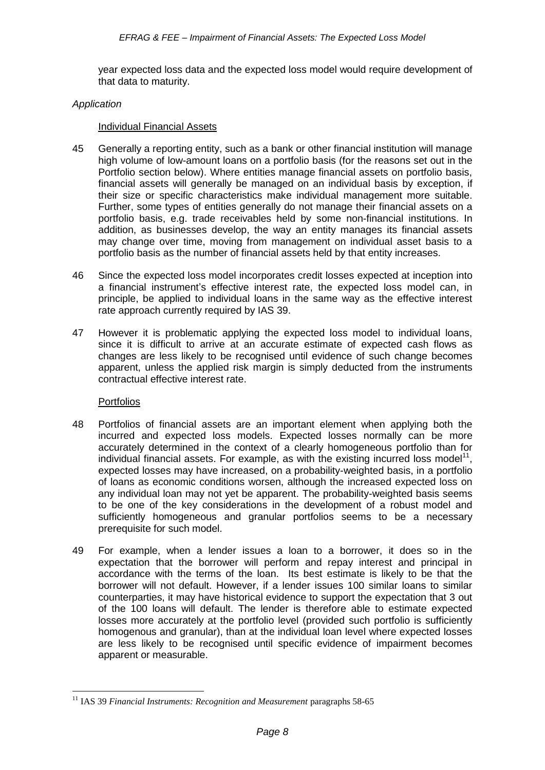year expected loss data and the expected loss model would require development of that data to maturity.

#### *Application*

#### Individual Financial Assets

- 45 Generally a reporting entity, such as a bank or other financial institution will manage high volume of low-amount loans on a portfolio basis (for the reasons set out in the Portfolio section below). Where entities manage financial assets on portfolio basis, financial assets will generally be managed on an individual basis by exception, if their size or specific characteristics make individual management more suitable. Further, some types of entities generally do not manage their financial assets on a portfolio basis, e.g. trade receivables held by some non-financial institutions. In addition, as businesses develop, the way an entity manages its financial assets may change over time, moving from management on individual asset basis to a portfolio basis as the number of financial assets held by that entity increases.
- 46 Since the expected loss model incorporates credit losses expected at inception into a financial instrument's effective interest rate, the expected loss model can, in principle, be applied to individual loans in the same way as the effective interest rate approach currently required by IAS 39.
- 47 However it is problematic applying the expected loss model to individual loans, since it is difficult to arrive at an accurate estimate of expected cash flows as changes are less likely to be recognised until evidence of such change becomes apparent, unless the applied risk margin is simply deducted from the instruments contractual effective interest rate.

#### Portfolios

- 48 Portfolios of financial assets are an important element when applying both the incurred and expected loss models. Expected losses normally can be more accurately determined in the context of a clearly homogeneous portfolio than for individual financial assets. For example, as with the existing incurred loss model<sup>11</sup>, expected losses may have increased, on a probability-weighted basis, in a portfolio of loans as economic conditions worsen, although the increased expected loss on any individual loan may not yet be apparent. The probability-weighted basis seems to be one of the key considerations in the development of a robust model and sufficiently homogeneous and granular portfolios seems to be a necessary prerequisite for such model.
- 49 For example, when a lender issues a loan to a borrower, it does so in the expectation that the borrower will perform and repay interest and principal in accordance with the terms of the loan. Its best estimate is likely to be that the borrower will not default. However, if a lender issues 100 similar loans to similar counterparties, it may have historical evidence to support the expectation that 3 out of the 100 loans will default. The lender is therefore able to estimate expected losses more accurately at the portfolio level (provided such portfolio is sufficiently homogenous and granular), than at the individual loan level where expected losses are less likely to be recognised until specific evidence of impairment becomes apparent or measurable.

<sup>&</sup>lt;sup>11</sup> IAS 39 *Financial Instruments: Recognition and Measurement* paragraphs 58-65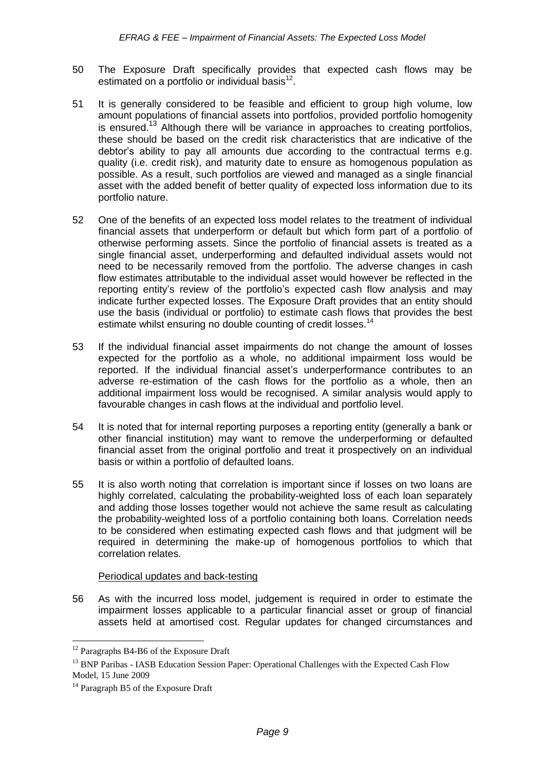- 50 The Exposure Draft specifically provides that expected cash flows may be estimated on a portfolio or individual basis $^{12}$ .
- 51 It is generally considered to be feasible and efficient to group high volume, low amount populations of financial assets into portfolios, provided portfolio homogenity is ensured.<sup>13</sup> Although there will be variance in approaches to creating portfolios, these should be based on the credit risk characteristics that are indicative of the debtor's ability to pay all amounts due according to the contractual terms e.g. quality (i.e. credit risk), and maturity date to ensure as homogenous population as possible. As a result, such portfolios are viewed and managed as a single financial asset with the added benefit of better quality of expected loss information due to its portfolio nature.
- 52 One of the benefits of an expected loss model relates to the treatment of individual financial assets that underperform or default but which form part of a portfolio of otherwise performing assets. Since the portfolio of financial assets is treated as a single financial asset, underperforming and defaulted individual assets would not need to be necessarily removed from the portfolio. The adverse changes in cash flow estimates attributable to the individual asset would however be reflected in the reporting entity's review of the portfolio's expected cash flow analysis and may indicate further expected losses. The Exposure Draft provides that an entity should use the basis (individual or portfolio) to estimate cash flows that provides the best estimate whilst ensuring no double counting of credit losses.<sup>14</sup>
- 53 If the individual financial asset impairments do not change the amount of losses expected for the portfolio as a whole, no additional impairment loss would be reported. If the individual financial asset's underperformance contributes to an adverse re-estimation of the cash flows for the portfolio as a whole, then an additional impairment loss would be recognised. A similar analysis would apply to favourable changes in cash flows at the individual and portfolio level.
- 54 It is noted that for internal reporting purposes a reporting entity (generally a bank or other financial institution) may want to remove the underperforming or defaulted financial asset from the original portfolio and treat it prospectively on an individual basis or within a portfolio of defaulted loans.
- 55 It is also worth noting that correlation is important since if losses on two loans are highly correlated, calculating the probability-weighted loss of each loan separately and adding those losses together would not achieve the same result as calculating the probability-weighted loss of a portfolio containing both loans. Correlation needs to be considered when estimating expected cash flows and that judgment will be required in determining the make-up of homogenous portfolios to which that correlation relates.

#### Periodical updates and back-testing

56 As with the incurred loss model, judgement is required in order to estimate the impairment losses applicable to a particular financial asset or group of financial assets held at amortised cost. Regular updates for changed circumstances and

<u>.</u>

<sup>&</sup>lt;sup>12</sup> Paragraphs B4-B6 of the Exposure Draft

<sup>&</sup>lt;sup>13</sup> BNP Paribas - IASB Education Session Paper: Operational Challenges with the Expected Cash Flow Model, 15 June 2009

<sup>&</sup>lt;sup>14</sup> Paragraph B5 of the Exposure Draft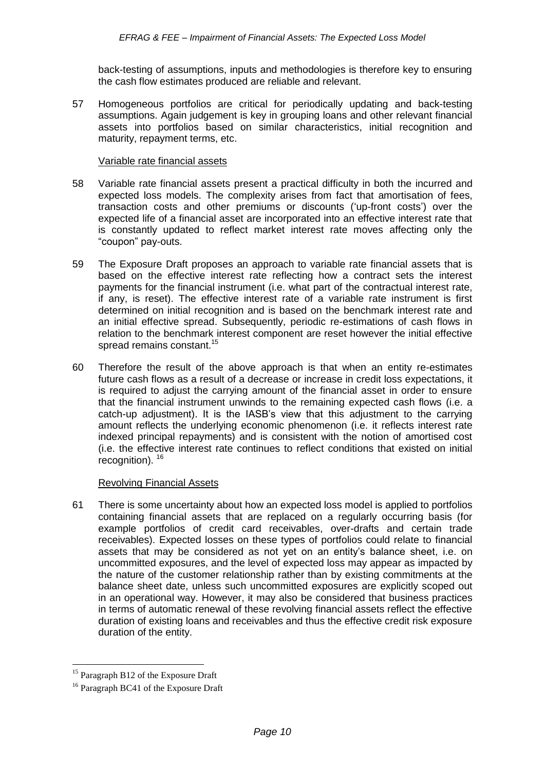back-testing of assumptions, inputs and methodologies is therefore key to ensuring the cash flow estimates produced are reliable and relevant.

57 Homogeneous portfolios are critical for periodically updating and back-testing assumptions. Again judgement is key in grouping loans and other relevant financial assets into portfolios based on similar characteristics, initial recognition and maturity, repayment terms, etc.

#### Variable rate financial assets

- 58 Variable rate financial assets present a practical difficulty in both the incurred and expected loss models. The complexity arises from fact that amortisation of fees, transaction costs and other premiums or discounts ('up-front costs') over the expected life of a financial asset are incorporated into an effective interest rate that is constantly updated to reflect market interest rate moves affecting only the "coupon" pay-outs.
- 59 The Exposure Draft proposes an approach to variable rate financial assets that is based on the effective interest rate reflecting how a contract sets the interest payments for the financial instrument (i.e. what part of the contractual interest rate, if any, is reset). The effective interest rate of a variable rate instrument is first determined on initial recognition and is based on the benchmark interest rate and an initial effective spread. Subsequently, periodic re-estimations of cash flows in relation to the benchmark interest component are reset however the initial effective spread remains constant.<sup>15</sup>
- 60 Therefore the result of the above approach is that when an entity re-estimates future cash flows as a result of a decrease or increase in credit loss expectations, it is required to adjust the carrying amount of the financial asset in order to ensure that the financial instrument unwinds to the remaining expected cash flows (i.e. a catch-up adjustment). It is the IASB's view that this adjustment to the carrying amount reflects the underlying economic phenomenon (i.e. it reflects interest rate indexed principal repayments) and is consistent with the notion of amortised cost (i.e. the effective interest rate continues to reflect conditions that existed on initial recognition). <sup>16</sup>

#### Revolving Financial Assets

61 There is some uncertainty about how an expected loss model is applied to portfolios containing financial assets that are replaced on a regularly occurring basis (for example portfolios of credit card receivables, over-drafts and certain trade receivables). Expected losses on these types of portfolios could relate to financial assets that may be considered as not yet on an entity's balance sheet, i.e. on uncommitted exposures, and the level of expected loss may appear as impacted by the nature of the customer relationship rather than by existing commitments at the balance sheet date, unless such uncommitted exposures are explicitly scoped out in an operational way. However, it may also be considered that business practices in terms of automatic renewal of these revolving financial assets reflect the effective duration of existing loans and receivables and thus the effective credit risk exposure duration of the entity.

<sup>&</sup>lt;sup>15</sup> Paragraph B12 of the Exposure Draft

<sup>&</sup>lt;sup>16</sup> Paragraph BC41 of the Exposure Draft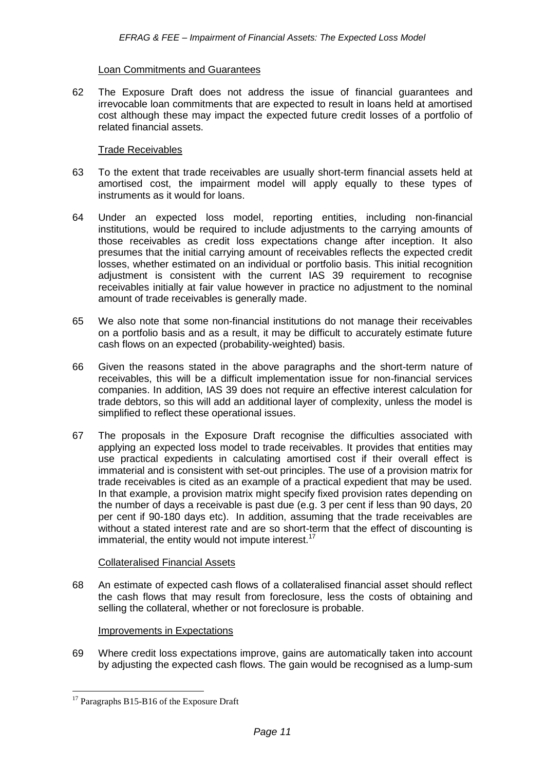#### Loan Commitments and Guarantees

62 The Exposure Draft does not address the issue of financial guarantees and irrevocable loan commitments that are expected to result in loans held at amortised cost although these may impact the expected future credit losses of a portfolio of related financial assets.

#### Trade Receivables

- 63 To the extent that trade receivables are usually short-term financial assets held at amortised cost, the impairment model will apply equally to these types of instruments as it would for loans.
- 64 Under an expected loss model, reporting entities, including non-financial institutions, would be required to include adjustments to the carrying amounts of those receivables as credit loss expectations change after inception. It also presumes that the initial carrying amount of receivables reflects the expected credit losses, whether estimated on an individual or portfolio basis. This initial recognition adjustment is consistent with the current IAS 39 requirement to recognise receivables initially at fair value however in practice no adjustment to the nominal amount of trade receivables is generally made.
- 65 We also note that some non-financial institutions do not manage their receivables on a portfolio basis and as a result, it may be difficult to accurately estimate future cash flows on an expected (probability-weighted) basis.
- 66 Given the reasons stated in the above paragraphs and the short-term nature of receivables, this will be a difficult implementation issue for non-financial services companies. In addition, IAS 39 does not require an effective interest calculation for trade debtors, so this will add an additional layer of complexity, unless the model is simplified to reflect these operational issues.
- 67 The proposals in the Exposure Draft recognise the difficulties associated with applying an expected loss model to trade receivables. It provides that entities may use practical expedients in calculating amortised cost if their overall effect is immaterial and is consistent with set-out principles. The use of a provision matrix for trade receivables is cited as an example of a practical expedient that may be used. In that example, a provision matrix might specify fixed provision rates depending on the number of days a receivable is past due (e.g. 3 per cent if less than 90 days, 20 per cent if 90-180 days etc). In addition, assuming that the trade receivables are without a stated interest rate and are so short-term that the effect of discounting is immaterial, the entity would not impute interest. $17$

#### Collateralised Financial Assets

68 An estimate of expected cash flows of a collateralised financial asset should reflect the cash flows that may result from foreclosure, less the costs of obtaining and selling the collateral, whether or not foreclosure is probable.

#### Improvements in Expectations

69 Where credit loss expectations improve, gains are automatically taken into account by adjusting the expected cash flows. The gain would be recognised as a lump-sum

<sup>&</sup>lt;sup>17</sup> Paragraphs B15-B16 of the Exposure Draft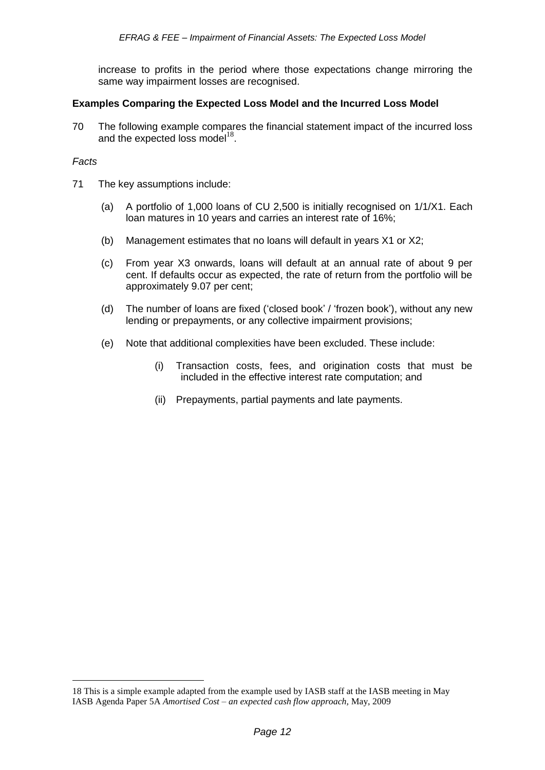increase to profits in the period where those expectations change mirroring the same way impairment losses are recognised.

### **Examples Comparing the Expected Loss Model and the Incurred Loss Model**

70 The following example compares the financial statement impact of the incurred loss and the expected loss model<sup>18</sup>.

#### *Facts*

<u>.</u>

- 71 The key assumptions include:
	- (a) A portfolio of 1,000 loans of CU 2,500 is initially recognised on 1/1/X1. Each loan matures in 10 years and carries an interest rate of 16%;
	- (b) Management estimates that no loans will default in years X1 or X2;
	- (c) From year X3 onwards, loans will default at an annual rate of about 9 per cent. If defaults occur as expected, the rate of return from the portfolio will be approximately 9.07 per cent;
	- (d) The number of loans are fixed ('closed book' / 'frozen book'), without any new lending or prepayments, or any collective impairment provisions;
	- (e) Note that additional complexities have been excluded. These include:
		- (i) Transaction costs, fees, and origination costs that must be included in the effective interest rate computation; and
		- (ii) Prepayments, partial payments and late payments.

<sup>18</sup> This is a simple example adapted from the example used by IASB staff at the IASB meeting in May IASB Agenda Paper 5A *Amortised Cost – an expected cash flow approach,* May, 2009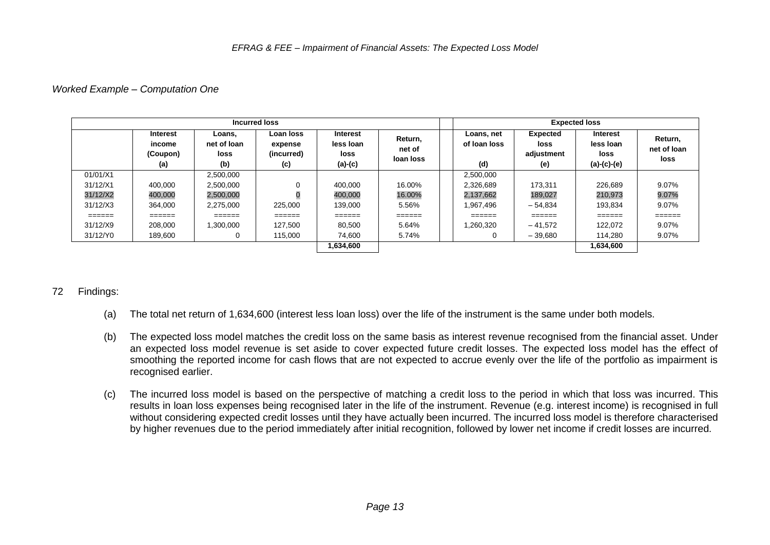#### *Worked Example – Computation One*

| Incurred loss |                                       |                                      |                                           |                                                   |                                | <b>Expected loss</b>              |                                              |                                                |                                |
|---------------|---------------------------------------|--------------------------------------|-------------------------------------------|---------------------------------------------------|--------------------------------|-----------------------------------|----------------------------------------------|------------------------------------------------|--------------------------------|
|               | Interest<br>income<br>(Coupon)<br>(a) | Loans.<br>net of loan<br>loss<br>(b) | Loan loss<br>expense<br>(incurred)<br>(c) | <b>Interest</b><br>less Ioan<br>loss<br>$(a)-(c)$ | Return,<br>net of<br>loan loss | Loans, net<br>of loan loss<br>(d) | <b>Expected</b><br>loss<br>adjustment<br>(e) | Interest<br>less Ioan<br>loss<br>$(a)-(c)-(e)$ | Return,<br>net of loan<br>loss |
| 01/01/X1      |                                       | 2,500,000                            |                                           |                                                   |                                | 2,500,000                         |                                              |                                                |                                |
| 31/12/X1      | 400.000                               | 2.500.000                            | 0                                         | 400.000                                           | 16.00%                         | 2.326.689                         | 173.311                                      | 226.689                                        | 9.07%                          |
| 31/12/X2      | 400,000                               | 2,500,000                            |                                           | 400,000                                           | 16.00%                         | 2,137,662                         | 189,027                                      | 210,973                                        | 9.07%                          |
| 31/12/X3      | 364,000                               | 2,275,000                            | 225,000                                   | 139,000                                           | 5.56%                          | 1,967,496                         | $-54.834$                                    | 193.834                                        | 9.07%                          |
| ======        | ======                                | ======                               | ======                                    | ======                                            | ======                         | ======                            | ======                                       | ======                                         | ======                         |
| 31/12/X9      | 208,000                               | ,300,000                             | 127.500                                   | 80,500                                            | 5.64%                          | 1,260,320                         | $-41.572$                                    | 122.072                                        | 9.07%                          |
| 31/12/Y0      | 189,600                               |                                      | 115,000                                   | 74.600                                            | 5.74%                          |                                   | $-39,680$                                    | 114.280                                        | 9.07%                          |
|               |                                       |                                      |                                           | 1,634,600                                         |                                |                                   |                                              | 1,634,600                                      |                                |

# 72 Findings:

- (a) The total net return of 1,634,600 (interest less loan loss) over the life of the instrument is the same under both models.
- (b) The expected loss model matches the credit loss on the same basis as interest revenue recognised from the financial asset. Under an expected loss model revenue is set aside to cover expected future credit losses. The expected loss model has the effect of smoothing the reported income for cash flows that are not expected to accrue evenly over the life of the portfolio as impairment is recognised earlier.
- (c) The incurred loss model is based on the perspective of matching a credit loss to the period in which that loss was incurred. This results in loan loss expenses being recognised later in the life of the instrument. Revenue (e.g. interest income) is recognised in full without considering expected credit losses until they have actually been incurred. The incurred loss model is therefore characterised by higher revenues due to the period immediately after initial recognition, followed by lower net income if credit losses are incurred.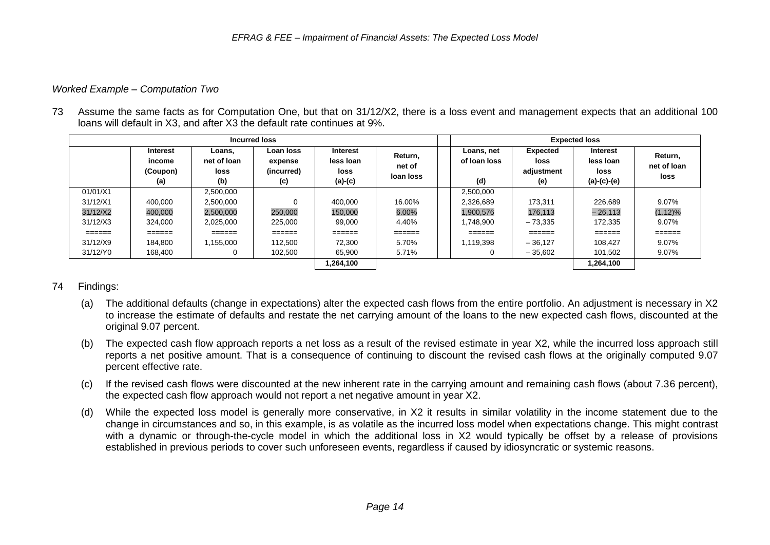# *Worked Example – Computation Two*

73 Assume the same facts as for Computation One, but that on 31/12/X2, there is a loss event and management expects that an additional 100 loans will default in X3, and after X3 the default rate continues at 9%.

| Incurred loss           |                                              |                                      |                                           |                                                   |                                | <b>Expected loss</b>              |                                              |                                                       |                                |
|-------------------------|----------------------------------------------|--------------------------------------|-------------------------------------------|---------------------------------------------------|--------------------------------|-----------------------------------|----------------------------------------------|-------------------------------------------------------|--------------------------------|
|                         | <b>Interest</b><br>income<br>(Coupon)<br>(a) | Loans.<br>net of loan<br>loss<br>(b) | Loan loss<br>expense<br>(incurred)<br>(c) | <b>Interest</b><br>less Ioan<br>loss<br>$(a)-(c)$ | Return,<br>net of<br>loan loss | Loans, net<br>of loan loss<br>(d) | <b>Expected</b><br>loss<br>adjustment<br>(e) | <b>Interest</b><br>less Ioan<br>loss<br>$(a)-(c)-(e)$ | Return,<br>net of loan<br>loss |
| 01/01/X1                |                                              | 2,500,000                            |                                           |                                                   |                                | 2,500,000                         |                                              |                                                       |                                |
| 31/12/X1                | 400.000                                      | 2,500,000                            |                                           | 400.000                                           | 16.00%                         | 2.326.689                         | 173.311                                      | 226,689                                               | 9.07%                          |
| 31/12/X2                | 400,000                                      | 2,500,000                            | 250,000                                   | 150,000                                           | 6.00%                          | 1,900,576                         | 176,113                                      | $-26.113$                                             | (1.12)%                        |
| 31/12/X3                | 324.000                                      | 2,025,000                            | 225.000                                   | 99,000                                            | 4.40%                          | 1,748,900                         | $-73.335$                                    | 172.335                                               | 9.07%                          |
| $=$ $=$ $=$ $=$ $=$ $=$ |                                              | ______<br>======                     | $=$ $=$ $=$ $=$ $=$ $=$                   | ======                                            | ======                         | ======                            | $=$ $=$ $=$ $=$ $=$ $=$                      | ======                                                | ======                         |
| 31/12/X9                | 184.800                                      | 1.155.000                            | 112,500                                   | 72.300                                            | 5.70%                          | 1.119.398                         | $-36.127$                                    | 108.427                                               | $9.07\%$                       |
| 31/12/Y0                | 168,400                                      |                                      | 102,500                                   | 65,900                                            | 5.71%                          |                                   | $-35.602$                                    | 101.502                                               | 9.07%                          |
|                         |                                              |                                      |                                           | 1,264,100                                         |                                |                                   |                                              | 1,264,100                                             |                                |

# 74 Findings:

- (a) The additional defaults (change in expectations) alter the expected cash flows from the entire portfolio. An adjustment is necessary in X2 to increase the estimate of defaults and restate the net carrying amount of the loans to the new expected cash flows, discounted at the original 9.07 percent.
- (b) The expected cash flow approach reports a net loss as a result of the revised estimate in year X2, while the incurred loss approach still reports a net positive amount. That is a consequence of continuing to discount the revised cash flows at the originally computed 9.07 percent effective rate.
- (c) If the revised cash flows were discounted at the new inherent rate in the carrying amount and remaining cash flows (about 7.36 percent), the expected cash flow approach would not report a net negative amount in year X2.
- (d) While the expected loss model is generally more conservative, in X2 it results in similar volatility in the income statement due to the change in circumstances and so, in this example, is as volatile as the incurred loss model when expectations change. This might contrast with a dynamic or through-the-cycle model in which the additional loss in X2 would typically be offset by a release of provisions established in previous periods to cover such unforeseen events, regardless if caused by idiosyncratic or systemic reasons.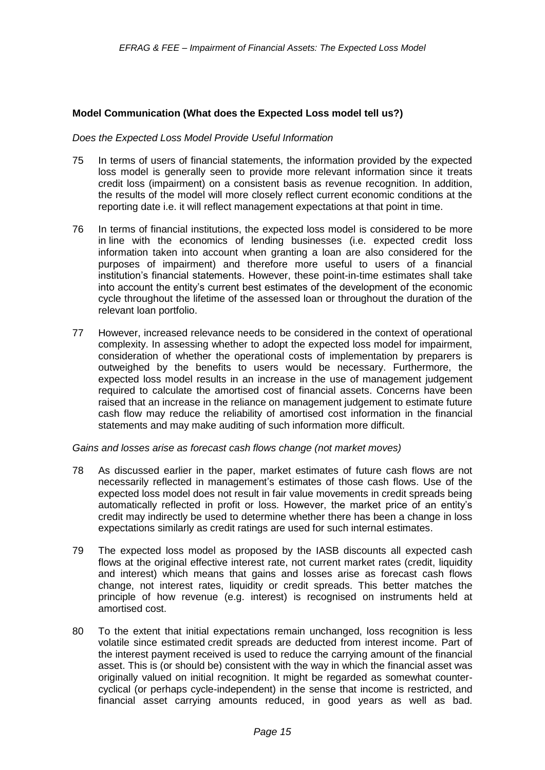#### **Model Communication (What does the Expected Loss model tell us?)**

#### *Does the Expected Loss Model Provide Useful Information*

- 75 In terms of users of financial statements, the information provided by the expected loss model is generally seen to provide more relevant information since it treats credit loss (impairment) on a consistent basis as revenue recognition. In addition, the results of the model will more closely reflect current economic conditions at the reporting date i.e. it will reflect management expectations at that point in time.
- 76 In terms of financial institutions, the expected loss model is considered to be more in line with the economics of lending businesses (i.e. expected credit loss information taken into account when granting a loan are also considered for the purposes of impairment) and therefore more useful to users of a financial institution's financial statements. However, these point-in-time estimates shall take into account the entity's current best estimates of the development of the economic cycle throughout the lifetime of the assessed loan or throughout the duration of the relevant loan portfolio.
- 77 However, increased relevance needs to be considered in the context of operational complexity. In assessing whether to adopt the expected loss model for impairment, consideration of whether the operational costs of implementation by preparers is outweighed by the benefits to users would be necessary. Furthermore, the expected loss model results in an increase in the use of management judgement required to calculate the amortised cost of financial assets. Concerns have been raised that an increase in the reliance on management judgement to estimate future cash flow may reduce the reliability of amortised cost information in the financial statements and may make auditing of such information more difficult.

#### *Gains and losses arise as forecast cash flows change (not market moves)*

- 78 As discussed earlier in the paper, market estimates of future cash flows are not necessarily reflected in management's estimates of those cash flows. Use of the expected loss model does not result in fair value movements in credit spreads being automatically reflected in profit or loss. However, the market price of an entity's credit may indirectly be used to determine whether there has been a change in loss expectations similarly as credit ratings are used for such internal estimates.
- 79 The expected loss model as proposed by the IASB discounts all expected cash flows at the original effective interest rate, not current market rates (credit, liquidity and interest) which means that gains and losses arise as forecast cash flows change, not interest rates, liquidity or credit spreads. This better matches the principle of how revenue (e.g. interest) is recognised on instruments held at amortised cost.
- 80 To the extent that initial expectations remain unchanged, loss recognition is less volatile since estimated credit spreads are deducted from interest income. Part of the interest payment received is used to reduce the carrying amount of the financial asset. This is (or should be) consistent with the way in which the financial asset was originally valued on initial recognition. It might be regarded as somewhat countercyclical (or perhaps cycle-independent) in the sense that income is restricted, and financial asset carrying amounts reduced, in good years as well as bad.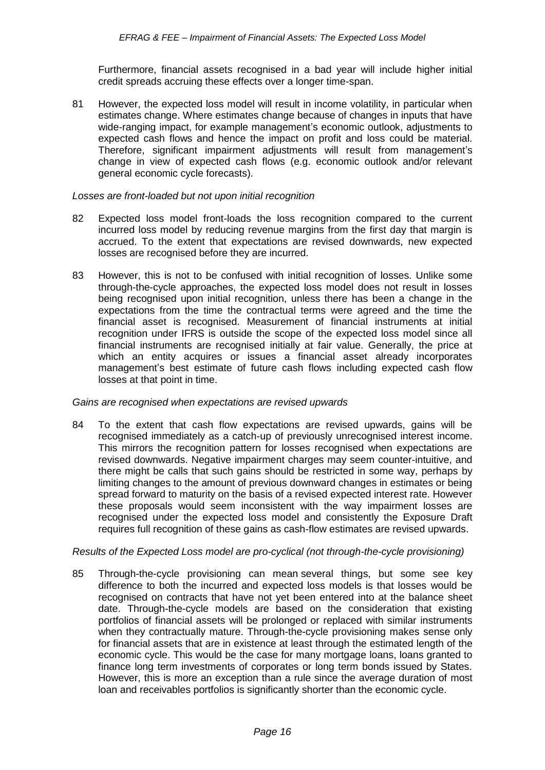Furthermore, financial assets recognised in a bad year will include higher initial credit spreads accruing these effects over a longer time-span.

81 However, the expected loss model will result in income volatility, in particular when estimates change. Where estimates change because of changes in inputs that have wide-ranging impact, for example management's economic outlook, adjustments to expected cash flows and hence the impact on profit and loss could be material. Therefore, significant impairment adjustments will result from management's change in view of expected cash flows (e.g. economic outlook and/or relevant general economic cycle forecasts).

#### *Losses are front-loaded but not upon initial recognition*

- 82 Expected loss model front-loads the loss recognition compared to the current incurred loss model by reducing revenue margins from the first day that margin is accrued. To the extent that expectations are revised downwards, new expected losses are recognised before they are incurred.
- 83 However, this is not to be confused with initial recognition of losses. Unlike some through-the-cycle approaches, the expected loss model does not result in losses being recognised upon initial recognition, unless there has been a change in the expectations from the time the contractual terms were agreed and the time the financial asset is recognised. Measurement of financial instruments at initial recognition under IFRS is outside the scope of the expected loss model since all financial instruments are recognised initially at fair value. Generally, the price at which an entity acquires or issues a financial asset already incorporates management's best estimate of future cash flows including expected cash flow losses at that point in time.

#### *Gains are recognised when expectations are revised upwards*

84 To the extent that cash flow expectations are revised upwards, gains will be recognised immediately as a catch-up of previously unrecognised interest income. This mirrors the recognition pattern for losses recognised when expectations are revised downwards. Negative impairment charges may seem counter-intuitive, and there might be calls that such gains should be restricted in some way, perhaps by limiting changes to the amount of previous downward changes in estimates or being spread forward to maturity on the basis of a revised expected interest rate. However these proposals would seem inconsistent with the way impairment losses are recognised under the expected loss model and consistently the Exposure Draft requires full recognition of these gains as cash-flow estimates are revised upwards.

#### *Results of the Expected Loss model are pro-cyclical (not through-the-cycle provisioning)*

85 Through-the-cycle provisioning can mean several things, but some see key difference to both the incurred and expected loss models is that losses would be recognised on contracts that have not yet been entered into at the balance sheet date. Through-the-cycle models are based on the consideration that existing portfolios of financial assets will be prolonged or replaced with similar instruments when they contractually mature. Through-the-cycle provisioning makes sense only for financial assets that are in existence at least through the estimated length of the economic cycle. This would be the case for many mortgage loans, loans granted to finance long term investments of corporates or long term bonds issued by States. However, this is more an exception than a rule since the average duration of most loan and receivables portfolios is significantly shorter than the economic cycle.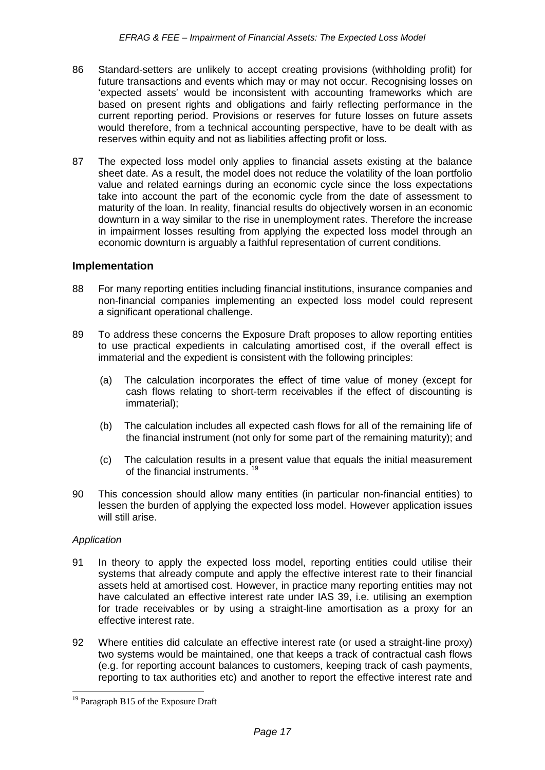- 86 Standard-setters are unlikely to accept creating provisions (withholding profit) for future transactions and events which may or may not occur. Recognising losses on 'expected assets' would be inconsistent with accounting frameworks which are based on present rights and obligations and fairly reflecting performance in the current reporting period. Provisions or reserves for future losses on future assets would therefore, from a technical accounting perspective, have to be dealt with as reserves within equity and not as liabilities affecting profit or loss.
- 87 The expected loss model only applies to financial assets existing at the balance sheet date. As a result, the model does not reduce the volatility of the loan portfolio value and related earnings during an economic cycle since the loss expectations take into account the part of the economic cycle from the date of assessment to maturity of the loan. In reality, financial results do objectively worsen in an economic downturn in a way similar to the rise in unemployment rates. Therefore the increase in impairment losses resulting from applying the expected loss model through an economic downturn is arguably a faithful representation of current conditions.

# **Implementation**

- 88 For many reporting entities including financial institutions, insurance companies and non-financial companies implementing an expected loss model could represent a significant operational challenge.
- 89 To address these concerns the Exposure Draft proposes to allow reporting entities to use practical expedients in calculating amortised cost, if the overall effect is immaterial and the expedient is consistent with the following principles:
	- (a) The calculation incorporates the effect of time value of money (except for cash flows relating to short-term receivables if the effect of discounting is immaterial);
	- (b) The calculation includes all expected cash flows for all of the remaining life of the financial instrument (not only for some part of the remaining maturity); and
	- (c) The calculation results in a present value that equals the initial measurement of the financial instruments.
- 90 This concession should allow many entities (in particular non-financial entities) to lessen the burden of applying the expected loss model. However application issues will still arise.

# *Application*

- 91 In theory to apply the expected loss model, reporting entities could utilise their systems that already compute and apply the effective interest rate to their financial assets held at amortised cost. However, in practice many reporting entities may not have calculated an effective interest rate under IAS 39, i.e. utilising an exemption for trade receivables or by using a straight-line amortisation as a proxy for an effective interest rate.
- 92 Where entities did calculate an effective interest rate (or used a straight-line proxy) two systems would be maintained, one that keeps a track of contractual cash flows (e.g. for reporting account balances to customers, keeping track of cash payments, reporting to tax authorities etc) and another to report the effective interest rate and

<sup>&</sup>lt;sup>19</sup> Paragraph B15 of the Exposure Draft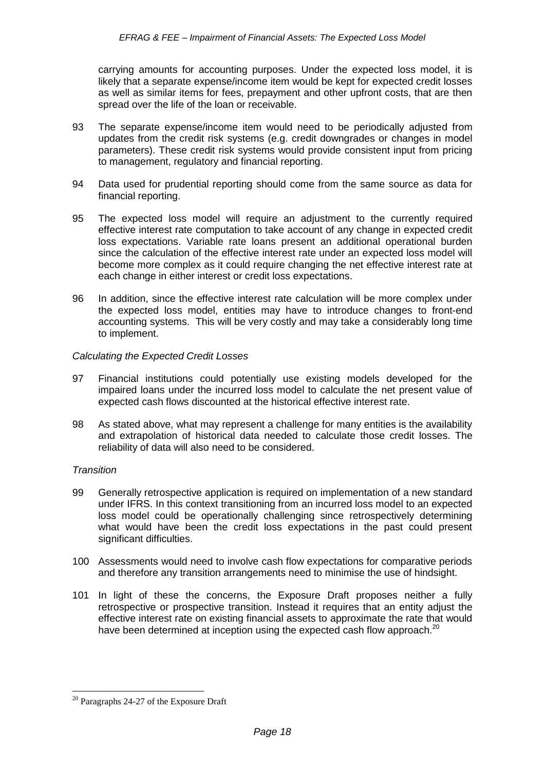carrying amounts for accounting purposes. Under the expected loss model, it is likely that a separate expense/income item would be kept for expected credit losses as well as similar items for fees, prepayment and other upfront costs, that are then spread over the life of the loan or receivable.

- 93 The separate expense/income item would need to be periodically adjusted from updates from the credit risk systems (e.g. credit downgrades or changes in model parameters). These credit risk systems would provide consistent input from pricing to management, regulatory and financial reporting.
- 94 Data used for prudential reporting should come from the same source as data for financial reporting.
- 95 The expected loss model will require an adjustment to the currently required effective interest rate computation to take account of any change in expected credit loss expectations. Variable rate loans present an additional operational burden since the calculation of the effective interest rate under an expected loss model will become more complex as it could require changing the net effective interest rate at each change in either interest or credit loss expectations.
- 96 In addition, since the effective interest rate calculation will be more complex under the expected loss model, entities may have to introduce changes to front-end accounting systems. This will be very costly and may take a considerably long time to implement.

#### *Calculating the Expected Credit Losses*

- 97 Financial institutions could potentially use existing models developed for the impaired loans under the incurred loss model to calculate the net present value of expected cash flows discounted at the historical effective interest rate.
- 98 As stated above, what may represent a challenge for many entities is the availability and extrapolation of historical data needed to calculate those credit losses. The reliability of data will also need to be considered.

#### *Transition*

- 99 Generally retrospective application is required on implementation of a new standard under IFRS. In this context transitioning from an incurred loss model to an expected loss model could be operationally challenging since retrospectively determining what would have been the credit loss expectations in the past could present significant difficulties.
- 100 Assessments would need to involve cash flow expectations for comparative periods and therefore any transition arrangements need to minimise the use of hindsight.
- 101 In light of these the concerns, the Exposure Draft proposes neither a fully retrospective or prospective transition. Instead it requires that an entity adjust the effective interest rate on existing financial assets to approximate the rate that would have been determined at inception using the expected cash flow approach. $^{20}$

<sup>&</sup>lt;sup>20</sup> Paragraphs 24-27 of the Exposure Draft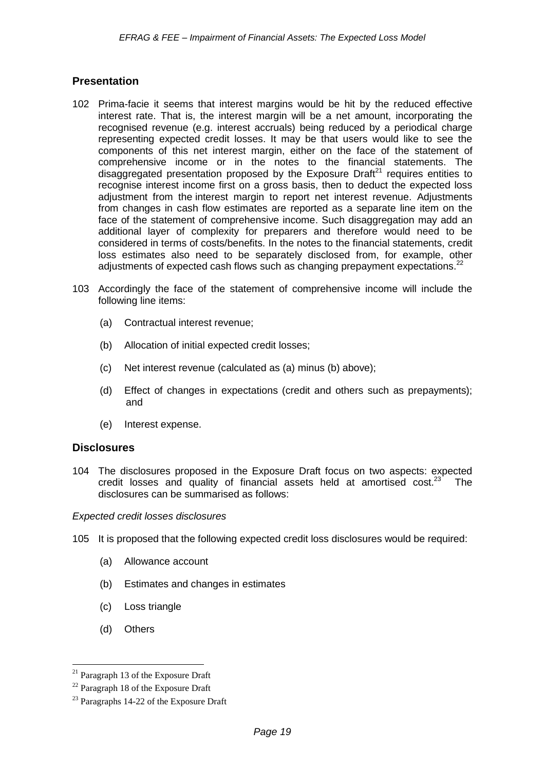# **Presentation**

- 102 Prima-facie it seems that interest margins would be hit by the reduced effective interest rate. That is, the interest margin will be a net amount, incorporating the recognised revenue (e.g. interest accruals) being reduced by a periodical charge representing expected credit losses. It may be that users would like to see the components of this net interest margin, either on the face of the statement of comprehensive income or in the notes to the financial statements. The disaggregated presentation proposed by the Exposure Draft<sup>21</sup> requires entities to recognise interest income first on a gross basis, then to deduct the expected loss adjustment from the interest margin to report net interest revenue. Adjustments from changes in cash flow estimates are reported as a separate line item on the face of the statement of comprehensive income. Such disaggregation may add an additional layer of complexity for preparers and therefore would need to be considered in terms of costs/benefits. In the notes to the financial statements, credit loss estimates also need to be separately disclosed from, for example, other adjustments of expected cash flows such as changing prepayment expectations.<sup>22</sup>
- 103 Accordingly the face of the statement of comprehensive income will include the following line items:
	- (a) Contractual interest revenue;
	- (b) Allocation of initial expected credit losses;
	- (c) Net interest revenue (calculated as (a) minus (b) above);
	- (d) Effect of changes in expectations (credit and others such as prepayments); and
	- (e) Interest expense.

# **Disclosures**

104 The disclosures proposed in the Exposure Draft focus on two aspects: expected credit losses and quality of financial assets held at amortised  $cost.^{23}$  The disclosures can be summarised as follows:

*Expected credit losses disclosures*

- 105 It is proposed that the following expected credit loss disclosures would be required:
	- (a) Allowance account
	- (b) Estimates and changes in estimates
	- (c) Loss triangle
	- (d) Others

Paragraph 13 of the Exposure Draft

<sup>22</sup> Paragraph 18 of the Exposure Draft

<sup>&</sup>lt;sup>23</sup> Paragraphs 14-22 of the Exposure Draft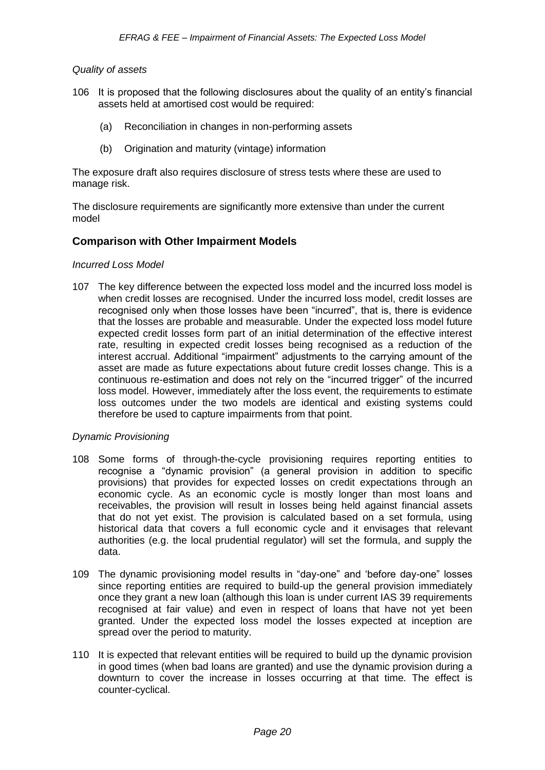#### *Quality of assets*

- 106 It is proposed that the following disclosures about the quality of an entity's financial assets held at amortised cost would be required:
	- (a) Reconciliation in changes in non-performing assets
	- (b) Origination and maturity (vintage) information

The exposure draft also requires disclosure of stress tests where these are used to manage risk.

The disclosure requirements are significantly more extensive than under the current model

# **Comparison with Other Impairment Models**

#### *Incurred Loss Model*

107 The key difference between the expected loss model and the incurred loss model is when credit losses are recognised. Under the incurred loss model, credit losses are recognised only when those losses have been "incurred", that is, there is evidence that the losses are probable and measurable. Under the expected loss model future expected credit losses form part of an initial determination of the effective interest rate, resulting in expected credit losses being recognised as a reduction of the interest accrual. Additional "impairment" adjustments to the carrying amount of the asset are made as future expectations about future credit losses change. This is a continuous re-estimation and does not rely on the "incurred trigger" of the incurred loss model. However, immediately after the loss event, the requirements to estimate loss outcomes under the two models are identical and existing systems could therefore be used to capture impairments from that point.

#### *Dynamic Provisioning*

- 108 Some forms of through-the-cycle provisioning requires reporting entities to recognise a "dynamic provision" (a general provision in addition to specific provisions) that provides for expected losses on credit expectations through an economic cycle. As an economic cycle is mostly longer than most loans and receivables, the provision will result in losses being held against financial assets that do not yet exist. The provision is calculated based on a set formula, using historical data that covers a full economic cycle and it envisages that relevant authorities (e.g. the local prudential regulator) will set the formula, and supply the data.
- 109 The dynamic provisioning model results in "day-one" and 'before day-one" losses since reporting entities are required to build-up the general provision immediately once they grant a new loan (although this loan is under current IAS 39 requirements recognised at fair value) and even in respect of loans that have not yet been granted. Under the expected loss model the losses expected at inception are spread over the period to maturity.
- 110 It is expected that relevant entities will be required to build up the dynamic provision in good times (when bad loans are granted) and use the dynamic provision during a downturn to cover the increase in losses occurring at that time. The effect is counter-cyclical.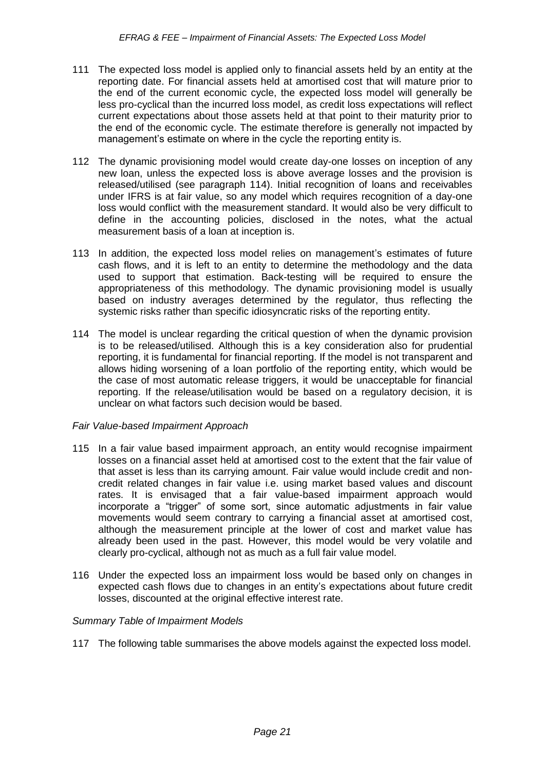- 111 The expected loss model is applied only to financial assets held by an entity at the reporting date. For financial assets held at amortised cost that will mature prior to the end of the current economic cycle, the expected loss model will generally be less pro-cyclical than the incurred loss model, as credit loss expectations will reflect current expectations about those assets held at that point to their maturity prior to the end of the economic cycle. The estimate therefore is generally not impacted by management's estimate on where in the cycle the reporting entity is.
- 112 The dynamic provisioning model would create day-one losses on inception of any new loan, unless the expected loss is above average losses and the provision is released/utilised (see paragraph 114). Initial recognition of loans and receivables under IFRS is at fair value, so any model which requires recognition of a day-one loss would conflict with the measurement standard. It would also be very difficult to define in the accounting policies, disclosed in the notes, what the actual measurement basis of a loan at inception is.
- 113 In addition, the expected loss model relies on management's estimates of future cash flows, and it is left to an entity to determine the methodology and the data used to support that estimation. Back-testing will be required to ensure the appropriateness of this methodology. The dynamic provisioning model is usually based on industry averages determined by the regulator, thus reflecting the systemic risks rather than specific idiosyncratic risks of the reporting entity.
- 114 The model is unclear regarding the critical question of when the dynamic provision is to be released/utilised. Although this is a key consideration also for prudential reporting, it is fundamental for financial reporting. If the model is not transparent and allows hiding worsening of a loan portfolio of the reporting entity, which would be the case of most automatic release triggers, it would be unacceptable for financial reporting. If the release/utilisation would be based on a regulatory decision, it is unclear on what factors such decision would be based.

# *Fair Value-based Impairment Approach*

- 115 In a fair value based impairment approach, an entity would recognise impairment losses on a financial asset held at amortised cost to the extent that the fair value of that asset is less than its carrying amount. Fair value would include credit and noncredit related changes in fair value i.e. using market based values and discount rates. It is envisaged that a fair value-based impairment approach would incorporate a "trigger" of some sort, since automatic adjustments in fair value movements would seem contrary to carrying a financial asset at amortised cost, although the measurement principle at the lower of cost and market value has already been used in the past. However, this model would be very volatile and clearly pro-cyclical, although not as much as a full fair value model.
- 116 Under the expected loss an impairment loss would be based only on changes in expected cash flows due to changes in an entity's expectations about future credit losses, discounted at the original effective interest rate.

# *Summary Table of Impairment Models*

117 The following table summarises the above models against the expected loss model.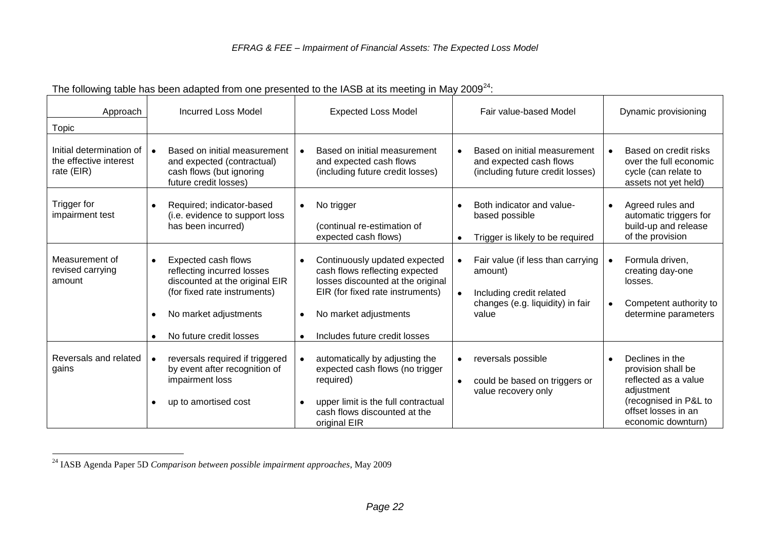| Approach                                                         | <b>Incurred Loss Model</b>                                                                                                                                                                                     | <b>Expected Loss Model</b>                                                                                                                                                                         | Fair value-based Model                                                                                                             | Dynamic provisioning                                                                                                                              |  |
|------------------------------------------------------------------|----------------------------------------------------------------------------------------------------------------------------------------------------------------------------------------------------------------|----------------------------------------------------------------------------------------------------------------------------------------------------------------------------------------------------|------------------------------------------------------------------------------------------------------------------------------------|---------------------------------------------------------------------------------------------------------------------------------------------------|--|
| Topic                                                            |                                                                                                                                                                                                                |                                                                                                                                                                                                    |                                                                                                                                    |                                                                                                                                                   |  |
| Initial determination of<br>the effective interest<br>rate (EIR) | Based on initial measurement<br>and expected (contractual)<br>cash flows (but ignoring<br>future credit losses)                                                                                                | Based on initial measurement<br>$\bullet$<br>and expected cash flows<br>(including future credit losses)                                                                                           | Based on initial measurement<br>$\bullet$<br>and expected cash flows<br>(including future credit losses)                           | Based on credit risks<br>$\bullet$<br>over the full economic<br>cycle (can relate to<br>assets not yet held)                                      |  |
| Trigger for<br>impairment test                                   | Required; indicator-based<br>(i.e. evidence to support loss<br>has been incurred)                                                                                                                              | No trigger<br>$\bullet$<br>(continual re-estimation of<br>expected cash flows)                                                                                                                     | Both indicator and value-<br>$\bullet$<br>based possible<br>Trigger is likely to be required<br>$\bullet$                          | Agreed rules and<br>$\bullet$<br>automatic triggers for<br>build-up and release<br>of the provision                                               |  |
| Measurement of<br>revised carrying<br>amount                     | Expected cash flows<br>$\bullet$<br>reflecting incurred losses<br>discounted at the original EIR<br>(for fixed rate instruments)<br>No market adjustments<br>$\bullet$<br>No future credit losses<br>$\bullet$ | Continuously updated expected<br>cash flows reflecting expected<br>losses discounted at the original<br>EIR (for fixed rate instruments)<br>No market adjustments<br>Includes future credit losses | Fair value (if less than carrying<br>amount)<br>Including credit related<br>$\bullet$<br>changes (e.g. liquidity) in fair<br>value | Formula driven,<br>creating day-one<br>losses.<br>Competent authority to<br>$\bullet$<br>determine parameters                                     |  |
| Reversals and related<br>gains                                   | reversals required if triggered<br>by event after recognition of<br>impairment loss<br>up to amortised cost<br>$\bullet$                                                                                       | automatically by adjusting the<br>$\bullet$<br>expected cash flows (no trigger<br>required)<br>upper limit is the full contractual<br>cash flows discounted at the<br>original EIR                 | reversals possible<br>$\bullet$<br>could be based on triggers or<br>$\bullet$<br>value recovery only                               | Declines in the<br>provision shall be<br>reflected as a value<br>adjustment<br>(recognised in P&L to<br>offset losses in an<br>economic downturn) |  |

The following table has been adapted from one presented to the IASB at its meeting in May 2009<sup>24</sup>:

<sup>&</sup>lt;u>.</u> <sup>24</sup> IASB Agenda Paper 5D *Comparison between possible impairment approaches*, May 2009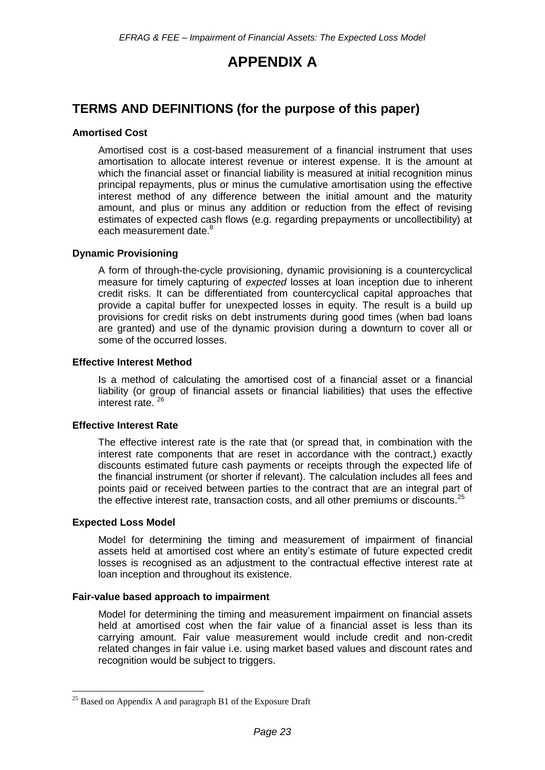# **APPENDIX A**

# **TERMS AND DEFINITIONS (for the purpose of this paper)**

#### **Amortised Cost**

Amortised cost is a cost-based measurement of a financial instrument that uses amortisation to allocate interest revenue or interest expense. It is the amount at which the financial asset or financial liability is measured at initial recognition minus principal repayments, plus or minus the cumulative amortisation using the effective interest method of any difference between the initial amount and the maturity amount, and plus or minus any addition or reduction from the effect of revising estimates of expected cash flows (e.g. regarding prepayments or uncollectibility) at each measurement date.<sup>8</sup>

#### **Dynamic Provisioning**

A form of through-the-cycle provisioning, dynamic provisioning is a countercyclical measure for timely capturing of *expected* losses at loan inception due to inherent credit risks. It can be differentiated from countercyclical capital approaches that provide a capital buffer for unexpected losses in equity. The result is a build up provisions for credit risks on debt instruments during good times (when bad loans are granted) and use of the dynamic provision during a downturn to cover all or some of the occurred losses.

#### **Effective Interest Method**

Is a method of calculating the amortised cost of a financial asset or a financial liability (or group of financial assets or financial liabilities) that uses the effective interest rate.<sup>26</sup>

#### **Effective Interest Rate**

The effective interest rate is the rate that (or spread that, in combination with the interest rate components that are reset in accordance with the contract,) exactly discounts estimated future cash payments or receipts through the expected life of the financial instrument (or shorter if relevant). The calculation includes all fees and points paid or received between parties to the contract that are an integral part of the effective interest rate, transaction costs, and all other premiums or discounts. $25$ 

#### **Expected Loss Model**

1

Model for determining the timing and measurement of impairment of financial assets held at amortised cost where an entity's estimate of future expected credit losses is recognised as an adjustment to the contractual effective interest rate at loan inception and throughout its existence.

#### **Fair-value based approach to impairment**

Model for determining the timing and measurement impairment on financial assets held at amortised cost when the fair value of a financial asset is less than its carrying amount. Fair value measurement would include credit and non-credit related changes in fair value i.e. using market based values and discount rates and recognition would be subject to triggers.

 $25$  Based on Appendix A and paragraph B1 of the Exposure Draft